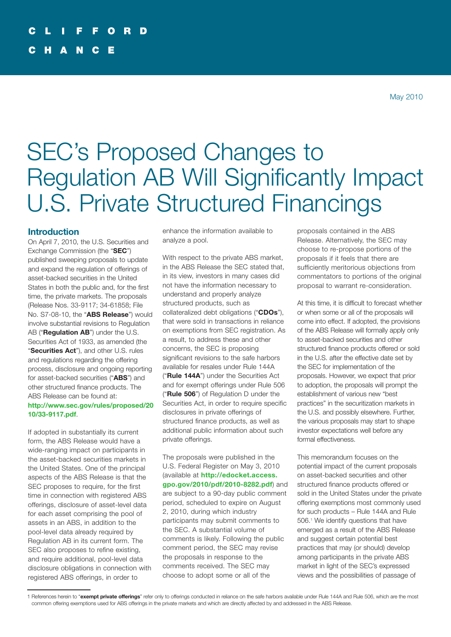# SEC's Proposed Changes to Regulation AB Will Significantly Impact U.S. Private Structured Financings

# **Introduction**

On April 7, 2010, the U.S. Securities and Exchange Commission (the "**SEC**") published sweeping proposals to update and expand the regulation of offerings of asset-backed securities in the United States in both the public and, for the first time, the private markets. The proposals (Release Nos. 33-9117; 34-61858; File No. S7-08-10, the "**ABS Release**") would involve substantial revisions to Regulation AB ("**Regulation AB**") under the U.S. Securities Act of 1933, as amended (the "**Securities Act**"), and other U.S. rules and regulations regarding the offering process, disclosure and ongoing reporting for asset-backed securities ("**ABS**") and other structured finance products. The ABS Release can be found at:

## **[http://www.sec.gov/rules/proposed/20](http://www.sec.gov/rules/proposed/2010/33-9117.pdf) [10/33-9117.pdf](http://www.sec.gov/rules/proposed/2010/33-9117.pdf)**.

If adopted in substantially its current form, the ABS Release would have a wide-ranging impact on participants in the asset-backed securities markets in the United States. One of the principal aspects of the ABS Release is that the SEC proposes to require, for the first time in connection with registered ABS offerings, disclosure of asset-level data for each asset comprising the pool of assets in an ABS, in addition to the pool-level data already required by Regulation AB in its current form. The SEC also proposes to refine existing, and require additional, pool-level data disclosure obligations in connection with registered ABS offerings, in order to

enhance the information available to analyze a pool.

With respect to the private ABS market, in the ABS Release the SEC stated that, in its view, investors in many cases did not have the information necessary to understand and properly analyze structured products, such as collateralized debt obligations ("**CDOs**"), that were sold in transactions in reliance on exemptions from SEC registration. As a result, to address these and other concerns, the SEC is proposing significant revisions to the safe harbors available for resales under Rule 144A ("**Rule 144A**") under the Securities Act and for exempt offerings under Rule 506 ("**Rule 506**") of Regulation D under the Securities Act, in order to require specific disclosures in private offerings of structured finance products, as well as additional public information about such private offerings.

The proposals were published in the U.S. Federal Register on May 3, 2010 (available at **[http://edocket.access.](http://edocket.access.gpo.gov/2010/pdf/2010-8282.pdf) [gpo.gov/2010/pdf/2010-8282.pdf](http://edocket.access.gpo.gov/2010/pdf/2010-8282.pdf)**) and are subject to a 90-day public comment period, scheduled to expire on August 2, 2010, during which industry participants may submit comments to the SEC. A substantial volume of comments is likely. Following the public comment period, the SEC may revise the proposals in response to the comments received. The SEC may choose to adopt some or all of the

proposals contained in the ABS Release. Alternatively, the SEC may choose to re-propose portions of the proposals if it feels that there are sufficiently meritorious objections from commentators to portions of the original proposal to warrant re-consideration.

At this time, it is difficult to forecast whether or when some or all of the proposals will come into effect. If adopted, the provisions of the ABS Release will formally apply only to asset-backed securities and other structured finance products offered or sold in the U.S. after the effective date set by the SEC for implementation of the proposals. However, we expect that prior to adoption, the proposals will prompt the establishment of various new "best practices" in the securitization markets in the U.S. and possibly elsewhere. Further, the various proposals may start to shape investor expectations well before any formal effectiveness.

This memorandum focuses on the potential impact of the current proposals on asset-backed securities and other structured finance products offered or sold in the United States under the private offering exemptions most commonly used for such products – Rule 144A and Rule 506. <sup>1</sup> We identify questions that have emerged as a result of the ABS Release and suggest certain potential best practices that may (or should) develop among participants in the private ABS market in light of the SEC's expressed views and the possibilities of passage of

<sup>1</sup> References herein to "**exempt private offerings**" refer only to offerings conducted in reliance on the safe harbors available under Rule 144A and Rule 506, which are the most common offering exemptions used for ABS offerings in the private markets and which are directly affected by and addressed in the ABS Release.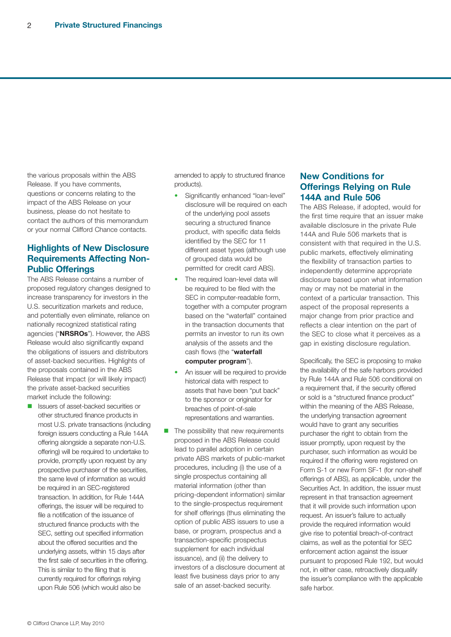the various proposals within the ABS Release. If you have comments, questions or concerns relating to the impact of the ABS Release on your business, please do not hesitate to contact the authors of this memorandum or your normal Clifford Chance contacts.

# **Highlights of New Disclosure Requirements Affecting Non-Public Offerings**

The ABS Release contains a number of proposed regulatory changes designed to increase transparency for investors in the U.S. securitization markets and reduce, and potentially even eliminate, reliance on nationally recognized statistical rating agencies ("**NRSROs**"). However, the ABS Release would also significantly expand the obligations of issuers and distributors of asset-backed securities. Highlights of the proposals contained in the ABS Release that impact (or will likely impact) the private asset-backed securities market include the following:

**n** Issuers of asset-backed securities or other structured finance products in most U.S. private transactions (including foreign issuers conducting a Rule 144A offering alongside a separate non-U.S. offering) will be required to undertake to provide, promptly upon request by any prospective purchaser of the securities, the same level of information as would be required in an SEC-registered transaction. In addition, for Rule 144A offerings, the issuer will be required to file a notification of the issuance of structured finance products with the SEC, setting out specified information about the offered securities and the underlying assets, within 15 days after the first sale of securities in the offering. This is similar to the filing that is currently required for offerings relying upon Rule 506 (which would also be

amended to apply to structured finance products).

- Significantly enhanced "loan-level" disclosure will be required on each of the underlying pool assets securing a structured finance product, with specific data fields identified by the SEC for 11 different asset types (although use of grouped data would be permitted for credit card ABS).
- The required loan-level data will be required to be filed with the SEC in computer-readable form, together with a computer program based on the "waterfall" contained in the transaction documents that permits an investor to run its own analysis of the assets and the cash flows (the "**waterfall computer program**").
- An issuer will be required to provide historical data with respect to assets that have been "put back" to the sponsor or originator for breaches of point-of-sale representations and warranties.
- $\blacksquare$  The possibility that new requirements proposed in the ABS Release could lead to parallel adoption in certain private ABS markets of public-market procedures, including (i) the use of a single prospectus containing all material information (other than pricing-dependent information) similar to the single-prospectus requirement for shelf offerings (thus eliminating the option of public ABS issuers to use a base, or program, prospectus and a transaction-specific prospectus supplement for each individual issuance), and (ii) the delivery to investors of a disclosure document at least five business days prior to any sale of an asset-backed security.

# **New Conditions for Offerings Relying on Rule 144A and Rule 506**

The ABS Release, if adopted, would for the first time require that an issuer make available disclosure in the private Rule 144A and Rule 506 markets that is consistent with that required in the U.S. public markets, effectively eliminating the flexibility of transaction parties to independently determine appropriate disclosure based upon what information may or may not be material in the context of a particular transaction. This aspect of the proposal represents a major change from prior practice and reflects a clear intention on the part of the SEC to close what it perceives as a gap in existing disclosure regulation.

Specifically, the SEC is proposing to make the availability of the safe harbors provided by Rule 144A and Rule 506 conditional on a requirement that, if the security offered or sold is a "structured finance product" within the meaning of the ABS Release, the underlying transaction agreement would have to grant any securities purchaser the right to obtain from the issuer promptly, upon request by the purchaser, such information as would be required if the offering were registered on Form S-1 or new Form SF-1 (for non-shelf offerings of ABS), as applicable, under the Securities Act. In addition, the issuer must represent in that transaction agreement that it will provide such information upon request. An issuer's failure to actually provide the required information would give rise to potential breach-of-contract claims, as well as the potential for SEC enforcement action against the issuer pursuant to proposed Rule 192, but would not, in either case, retroactively disqualify the issuer's compliance with the applicable safe harbor.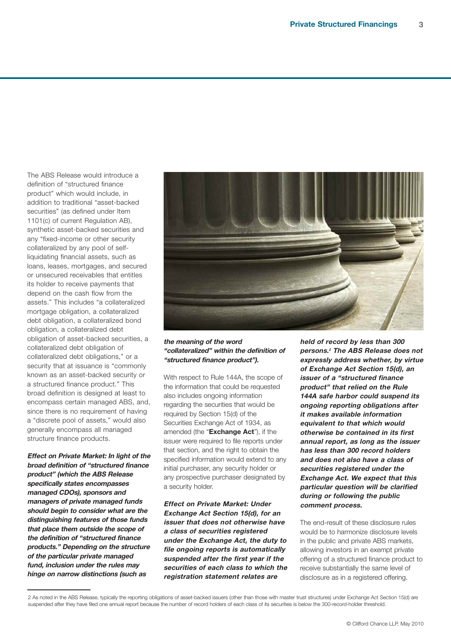The ABS Release would introduce a definition of "structured finance product" which would include, in addition to traditional "asset-backed securities" (as defined under Item 1101(c) of current Regulation AB), synthetic asset-backed securities and any "fixed-income or other security collateralized by any pool of selfliquidating financial assets, such as loans, leases, mortgages, and secured or unsecured receivables that entitles its holder to receive payments that depend on the cash flow from the assets." This includes "a collateralized mortgage obligation, a collateralized debt obligation, a collateralized bond obligation, a collateralized debt obligation of asset-backed securities, a collateralized debt obligation of collateralized debt obligations," or a security that at issuance is "commonly known as an asset-backed security or a structured finance product." This broad definition is designed at least to encompass certain managed ABS, and, since there is no requirement of having a "discrete pool of assets," would also generally encompass all managed structure finance products.

**Effect on Private Market: In light of the broad definition of "structured finance product" (which the ABS Release specifically states encompasses managed CDOs), sponsors and managers of private managed funds should begin to consider what are the distinguishing features of those funds that place them outside the scope of the definition of "structured finance products." Depending on the structure of the particular private managed fund, inclusion under the rules may hinge on narrow distinctions (such as**



#### **the meaning of the word "collateralized" within the definition of "structured finance product").**

With respect to Rule 144A, the scope of the information that could be requested also includes ongoing information regarding the securities that would be required by Section 15(d) of the Securities Exchange Act of 1934, as amended (the "**Exchange Act**"), if the issuer were required to file reports under that section, and the right to obtain the specified information would extend to any initial purchaser, any security holder or any prospective purchaser designated by a security holder.

**Effect on Private Market: Under Exchange Act Section 15(d), for an issuer that does not otherwise have <sup>a</sup> class of securities registered under the Exchange Act, the duty to file ongoing reports is automatically suspended after the first year if the securities of each class to which the registration statement relates are**

**held of record by less than 300 persons. <sup>2</sup> The ABS Release does not expressly address whether, by virtue of Exchange Act Section 15(d), an issuer of a "structured finance product" that relied on the Rule 144A safe harbor could suspend its ongoing reporting obligations after it makes available information equivalent to that which would otherwise be contained in its first annual report, as long as the issuer has less than 300 record holders and does not also have a class of securities registered under the Exchange Act. We expect that this particular question will be clarified during or following the public comment process.**

The end-result of these disclosure rules would be to harmonize disclosure levels in the public and private ABS markets, allowing investors in an exempt private offering of a structured finance product to receive substantially the same level of disclosure as in a registered offering.

<sup>2</sup> As noted in the ABS Release, typically the reporting obligations of asset-backed issuers (other than those with master trust structures) under Exchange Act Section 15(d) are suspended after they have filed one annual report because the number of record holders of each class of its securities is below the 300-record-holder threshold.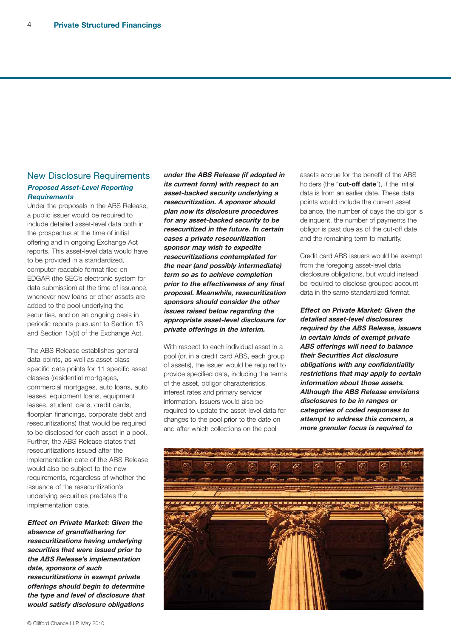# New Disclosure Requirements **Proposed Asset-Level Reporting Requirements**

Under the proposals in the ABS Release, a public issuer would be required to include detailed asset-level data both in the prospectus at the time of initial offering and in ongoing Exchange Act reports. This asset-level data would have to be provided in a standardized, computer-readable format filed on EDGAR (the SEC's electronic system for data submission) at the time of issuance, whenever new loans or other assets are added to the pool underlying the securities, and on an ongoing basis in periodic reports pursuant to Section 13 and Section 15(d) of the Exchange Act.

The ABS Release establishes general data points, as well as asset-classspecific data points for 11 specific asset classes (residential mortgages, commercial mortgages, auto loans, auto leases, equipment loans, equipment leases, student loans, credit cards, floorplan financings, corporate debt and resecuritizations) that would be required to be disclosed for each asset in a pool. Further, the ABS Release states that resecuritizations issued after the implementation date of the ABS Release would also be subject to the new requirements, regardless of whether the issuance of the resecuritization's underlying securities predates the implementation date.

**Effect on Private Market: Given the absence of grandfathering for resecuritizations having underlying securities that were issued prior to the ABS Release's implementation date, sponsors of such resecuritizations in exempt private offerings should begin to determine the type and level of disclosure that would satisfy disclosure obligations**

**under the ABS Release (if adopted in its current form) with respect to an asset-backed security underlying <sup>a</sup> resecuritization. A sponsor should plan now its disclosure procedures for any asset-backed security to be resecuritized in the future. In certain cases <sup>a</sup> private resecuritization sponsor may wish to expedite resecuritizations contemplated for the near (and possibly intermediate) term so as to achieve completion prior to the effectiveness of any final proposal. Meanwhile, resecuritization sponsors should consider the other issues raised below regarding the appropriate asset-level disclosure for private offerings in the interim.**

With respect to each individual asset in a pool (or, in a credit card ABS, each group of assets), the issuer would be required to provide specified data, including the terms of the asset, obligor characteristics, interest rates and primary servicer information. Issuers would also be required to update the asset-level data for changes to the pool prior to the date on and after which collections on the pool

assets accrue for the benefit of the ABS holders (the "**cut-off date**"), if the initial data is from an earlier date. These data points would include the current asset balance, the number of days the obligor is delinquent, the number of payments the obligor is past due as of the cut-off date and the remaining term to maturity.

Credit card ABS issuers would be exempt from the foregoing asset-level data disclosure obligations, but would instead be required to disclose grouped account data in the same standardized format.

**Effect on Private Market: Given the detailed asset-level disclosures required by the ABS Release, issuers in certain kinds of exempt private ABS offerings will need to balance their Securities Act disclosure obligations with any confidentiality restrictions that may apply to certain information about those assets. Although the ABS Release envisions disclosures to be in ranges or categories of coded responses to attempt to address this concern, <sup>a</sup> more granular focus is required to**

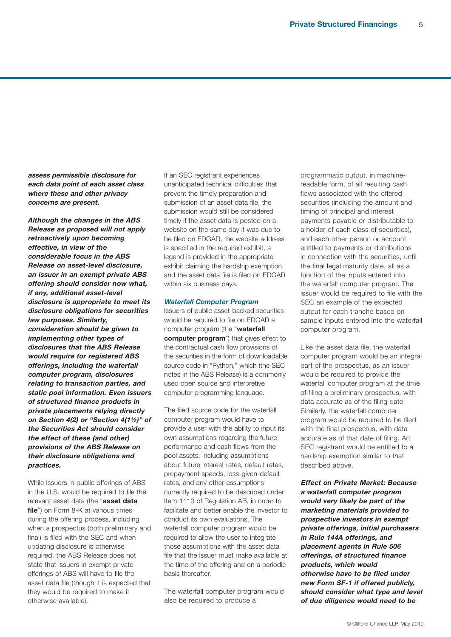**assess permissible disclosure for each data point of each asset class where these and other privacy concerns are present.**

**Although the changes in the ABS Release as proposed will not apply retroactively upon becoming effective, in view of the considerable focus in the ABS Release on asset-level disclosure, an issuer in an exempt private ABS offering should consider now what, if any, additional asset-level disclosure is appropriate to meet its disclosure obligations for securities law purposes. Similarly, consideration should be given to implementing other types of disclosures that the ABS Release would require for registered ABS offerings, including the waterfall computer program, disclosures relating to transaction parties, and static pool information. Even issuers of structured finance products in private placements relying directly on Section 4(2) or "Section 4(1½)" of the Securities Act should consider the effect of these (and other) provisions of the ABS Release on their disclosure obligations and practices.**

While issuers in public offerings of ABS in the U.S. would be required to file the relevant asset data (the "**asset data** file") on Form 8-K at various times during the offering process, including when a prospectus (both preliminary and final) is filed with the SEC and when updating disclosure is otherwise required, the ABS Release does not state that issuers in exempt private offerings of ABS will have to file the asset data file (though it is expected that they would be required to make it otherwise available).

If an SEC registrant experiences unanticipated technical difficulties that prevent the timely preparation and submission of an asset data file, the submission would still be considered timely if the asset data is posted on a website on the same day it was due to be filed on EDGAR, the website address is specified in the required exhibit, a legend is provided in the appropriate exhibit claiming the hardship exemption, and the asset data file is filed on EDGAR within six business days.

#### **Waterfall Computer Program**

Issuers of public asset-backed securities would be required to file on EDGAR a computer program (the "**waterfall computer program**") that gives effect to the contractual cash flow provisions of the securities in the form of downloadable source code in "Python," which (the SEC notes in the ABS Release) is a commonly used open source and interpretive computer programming language.

The filed source code for the waterfall computer program would have to provide a user with the ability to input its own assumptions regarding the future performance and cash flows from the pool assets, including assumptions about future interest rates, default rates, prepayment speeds, loss-given-default rates, and any other assumptions currently required to be described under Item 1113 of Regulation AB, in order to facilitate and better enable the investor to conduct its own evaluations. The waterfall computer program would be required to allow the user to integrate those assumptions with the asset data file that the issuer must make available at the time of the offering and on a periodic basis thereafter.

The waterfall computer program would also be required to produce a

programmatic output, in machinereadable form, of all resulting cash flows associated with the offered securities (including the amount and timing of principal and interest payments payable or distributable to a holder of each class of securities), and each other person or account entitled to payments or distributions in connection with the securities, until the final legal maturity date, all as a function of the inputs entered into the waterfall computer program. The issuer would be required to file with the SEC an example of the expected output for each tranche based on sample inputs entered into the waterfall computer program.

Like the asset data file, the waterfall computer program would be an integral part of the prospectus, as an issuer would be required to provide the waterfall computer program at the time of filing a preliminary prospectus, with data accurate as of the filing date. Similarly, the waterfall computer program would be required to be filed with the final prospectus, with data accurate as of that date of filing. An SEC registrant would be entitled to a hardship exemption similar to that described above.

**Effect on Private Market: Because <sup>a</sup> waterfall computer program would very likely be part of the marketing materials provided to prospective investors in exempt private offerings, initial purchasers in Rule 144A offerings, and placement agents in Rule 506 offerings, of structured finance products, which would otherwise have to be filed under new Form SF-1 if offered publicly, should consider what type and level of due diligence would need to be**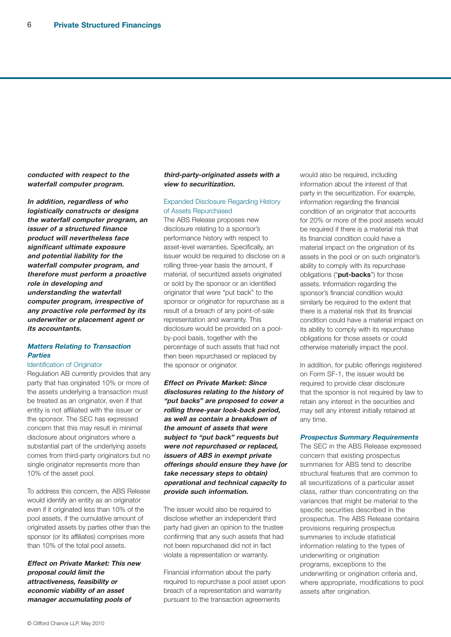**conducted with respect to the waterfall computer program.**

**In addition, regardless of who logistically constructs or designs the waterfall computer program, an issuer of a structured finance product will nevertheless face significant ultimate exposure and potential liability for the waterfall computer program, and therefore must perform <sup>a</sup> proactive role in developing and understanding the waterfall computer program, irrespective of any proactive role performed by its underwriter or placement agent or its accountants.**

# **Matters Relating to Transaction Parties**

#### Identification of Originator

Regulation AB currently provides that any party that has originated 10% or more of the assets underlying a transaction must be treated as an originator, even if that entity is not affiliated with the issuer or the sponsor. The SEC has expressed concern that this may result in minimal disclosure about originators where a substantial part of the underlying assets comes from third-party originators but no single originator represents more than 10% of the asset pool.

To address this concern, the ABS Release would identify an entity as an originator even if it originated less than 10% of the pool assets, if the cumulative amount of originated assets by parties other than the sponsor (or its affiliates) comprises more than 10% of the total pool assets.

**Effect on Private Market: This new proposal could limit the attractiveness, feasibility or economic viability of an asset manager accumulating pools of**

#### **third-party-originated assets with <sup>a</sup> view to securitization.**

#### Expanded Disclosure Regarding History of Assets Repurchased

The ABS Release proposes new disclosure relating to a sponsor's performance history with respect to asset-level warranties. Specifically, an issuer would be required to disclose on a rolling three-year basis the amount, if material, of securitized assets originated or sold by the sponsor or an identified originator that were "put back" to the sponsor or originator for repurchase as a result of a breach of any point-of-sale representation and warranty. This disclosure would be provided on a poolby-pool basis, together with the percentage of such assets that had not then been repurchased or replaced by the sponsor or originator.

**Effect on Private Market: Since disclosures relating to the history of "put backs" are proposed to cover <sup>a</sup> rolling three-year look-back period, as well as contain a breakdown of the amount of assets that were subject to "put back" requests but were not repurchased or replaced, issuers of ABS in exempt private offerings should ensure they have (or take necessary steps to obtain) operational and technical capacity to provide such information.**

The issuer would also be required to disclose whether an independent third party had given an opinion to the trustee confirming that any such assets that had not been repurchased did not in fact violate a representation or warranty.

Financial information about the party required to repurchase a pool asset upon breach of a representation and warranty pursuant to the transaction agreements

would also be required, including information about the interest of that party in the securitization. For example, information regarding the financial condition of an originator that accounts for 20% or more of the pool assets would be required if there is a material risk that its financial condition could have a material impact on the origination of its assets in the pool or on such originator's ability to comply with its repurchase obligations ("**put-backs**") for those assets. Information regarding the sponsor's financial condition would similarly be required to the extent that there is a material risk that its financial condition could have a material impact on its ability to comply with its repurchase obligations for those assets or could otherwise materially impact the pool.

In addition, for public offerings registered on Form SF-1, the issuer would be required to provide clear disclosure that the sponsor is not required by law to retain any interest in the securities and may sell any interest initially retained at any time.

#### **Prospectus Summary Requirements**

The SEC in the ABS Release expressed concern that existing prospectus summaries for ABS tend to describe structural features that are common to all securitizations of a particular asset class, rather than concentrating on the variances that might be material to the specific securities described in the prospectus. The ABS Release contains provisions requiring prospectus summaries to include statistical information relating to the types of underwriting or origination programs, exceptions to the underwriting or origination criteria and, where appropriate, modifications to pool assets after origination.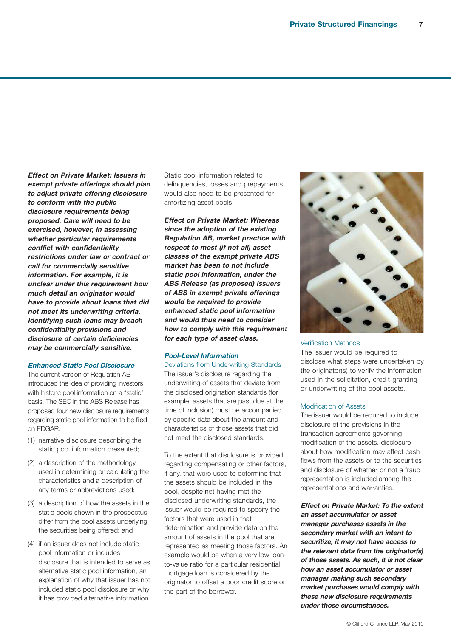**Effect on Private Market: Issuers in exempt private offerings should plan to adjust private offering disclosure to conform with the public disclosure requirements being proposed. Care will need to be exercised, however, in assessing whether particular requirements conflict with confidentiality restrictions under law or contract or call for commercially sensitive information. For example, it is unclear under this requirement how much detail an originator would have to provide about loans that did not meet its underwriting criteria. Identifying such loans may breach confidentiality provisions and disclosure of certain deficiencies may be commercially sensitive.**

#### **Enhanced Static Pool Disclosure**

The current version of Regulation AB introduced the idea of providing investors with historic pool information on a "static" basis. The SEC in the ABS Release has proposed four new disclosure requirements regarding static pool information to be filed on EDGAR:

- (1) narrative disclosure describing the static pool information presented;
- (2) a description of the methodology used in determining or calculating the characteristics and a description of any terms or abbreviations used;
- (3) a description of how the assets in the static pools shown in the prospectus differ from the pool assets underlying the securities being offered; and
- (4) if an issuer does not include static pool information or includes disclosure that is intended to serve as alternative static pool information, an explanation of why that issuer has not included static pool disclosure or why it has provided alternative information.

Static pool information related to delinquencies, losses and prepayments would also need to be presented for amortizing asset pools.

**Effect on Private Market: Whereas since the adoption of the existing Regulation AB, market practice with respect to most (if not all) asset classes of the exempt private ABS market has been to not include static pool information, under the ABS Release (as proposed) issuers of ABS in exempt private offerings would be required to provide enhanced static pool information and would thus need to consider how to comply with this requirement for each type of asset class.**

#### **Pool-Level Information**

Deviations from Underwriting Standards The issuer's disclosure regarding the underwriting of assets that deviate from the disclosed origination standards (for example, assets that are past due at the time of inclusion) must be accompanied by specific data about the amount and characteristics of those assets that did not meet the disclosed standards.

To the extent that disclosure is provided regarding compensating or other factors, if any, that were used to determine that the assets should be included in the pool, despite not having met the disclosed underwriting standards, the issuer would be required to specify the factors that were used in that determination and provide data on the amount of assets in the pool that are represented as meeting those factors. An example would be when a very low loanto-value ratio for a particular residential mortgage loan is considered by the originator to offset a poor credit score on the part of the borrower.



#### Verification Methods

The issuer would be required to disclose what steps were undertaken by the originator(s) to verify the information used in the solicitation, credit-granting or underwriting of the pool assets.

#### Modification of Assets

The issuer would be required to include disclosure of the provisions in the transaction agreements governing modification of the assets, disclosure about how modification may affect cash flows from the assets or to the securities and disclosure of whether or not a fraud representation is included among the representations and warranties.

**Effect on Private Market: To the extent an asset accumulator or asset manager purchases assets in the secondary market with an intent to securitize, it may not have access to the relevant data from the originator(s) of those assets. As such, it is not clear how an asset accumulator or asset manager making such secondary market purchases would comply with these new disclosure requirements under those circumstances.**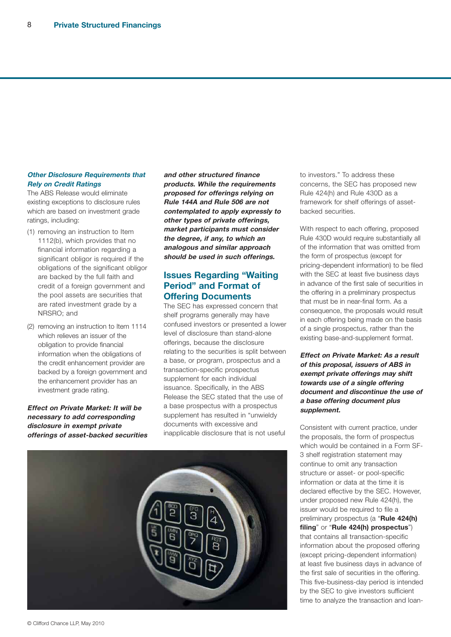### **Other Disclosure Requirements that Rely on Credit Ratings**

The ABS Release would eliminate existing exceptions to disclosure rules which are based on investment grade ratings, including:

- (1) removing an instruction to Item 1112(b), which provides that no financial information regarding a significant obligor is required if the obligations of the significant obligor are backed by the full faith and credit of a foreign government and the pool assets are securities that are rated investment grade by a NRSRO; and
- (2) removing an instruction to Item 1114 which relieves an issuer of the obligation to provide financial information when the obligations of the credit enhancement provider are backed by a foreign government and the enhancement provider has an investment grade rating.

**Effect on Private Market: It will be necessary to add corresponding disclosure in exempt private offerings of asset-backed securities** **and other structured finance products. While the requirements proposed for offerings relying on Rule 144A and Rule 506 are not contemplated to apply expressly to other types of private offerings, market participants must consider the degree, if any, to which an analogous and similar approach should be used in such offerings.**

# **Issues Regarding "Waiting Period" and Format of Offering Documents**

The SEC has expressed concern that shelf programs generally may have confused investors or presented a lower level of disclosure than stand-alone offerings, because the disclosure relating to the securities is split between a base, or program, prospectus and a transaction-specific prospectus supplement for each individual issuance. Specifically, in the ABS Release the SEC stated that the use of a base prospectus with a prospectus supplement has resulted in "unwieldy documents with excessive and inapplicable disclosure that is not useful



to investors." To address these concerns, the SEC has proposed new Rule 424(h) and Rule 430D as a framework for shelf offerings of assetbacked securities.

With respect to each offering, proposed Rule 430D would require substantially all of the information that was omitted from the form of prospectus (except for pricing-dependent information) to be filed with the SEC at least five business days in advance of the first sale of securities in the offering in a preliminary prospectus that must be in near-final form. As a consequence, the proposals would result in each offering being made on the basis of a single prospectus, rather than the existing base-and-supplement format.

**Effect on Private Market: As a result of this proposal, issuers of ABS in exempt private offerings may shift towards use of <sup>a</sup> single offering document and discontinue the use of <sup>a</sup> base offering document plus supplement.**

Consistent with current practice, under the proposals, the form of prospectus which would be contained in a Form SF-3 shelf registration statement may continue to omit any transaction structure or asset- or pool-specific information or data at the time it is declared effective by the SEC. However, under proposed new Rule 424(h), the issuer would be required to file a preliminary prospectus (a "**Rule 424(h) filing**" or "**Rule 424(h) prospectus**") that contains all transaction-specific information about the proposed offering (except pricing-dependent information) at least five business days in advance of the first sale of securities in the offering. This five-business-day period is intended by the SEC to give investors sufficient time to analyze the transaction and loan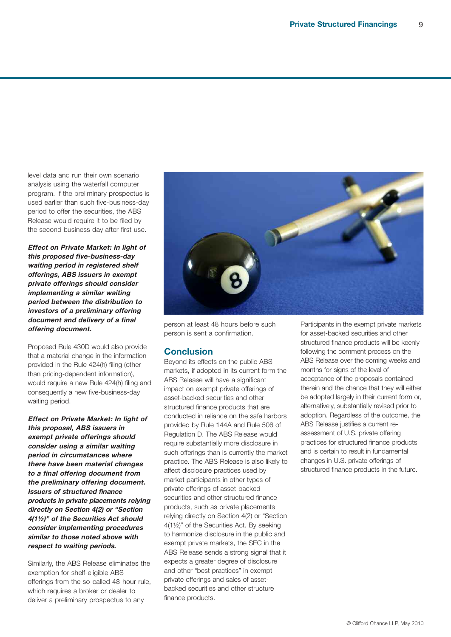level data and run their own scenario analysis using the waterfall computer program. If the preliminary prospectus is used earlier than such five-business-day period to offer the securities, the ABS Release would require it to be filed by the second business day after first use.

**Effect on Private Market: In light of this proposed five-business-day waiting period in registered shelf offerings, ABS issuers in exempt private offerings should consider implementing <sup>a</sup> similar waiting period between the distribution to investors of <sup>a</sup> preliminary offering document and delivery of <sup>a</sup> final offering document.**

Proposed Rule 430D would also provide that a material change in the information provided in the Rule 424(h) filing (other than pricing-dependent information), would require a new Rule 424(h) filing and consequently a new five-business-day waiting period.

**Effect on Private Market: In light of this proposal, ABS issuers in exempt private offerings should consider using <sup>a</sup> similar waiting period in circumstances where there have been material changes to <sup>a</sup> final offering document from the preliminary offering document. Issuers of structured finance products in private placements relying directly on Section 4(2) or "Section 4(1½)" of the Securities Act should consider implementing procedures similar to those noted above with respect to waiting periods.**

Similarly, the ABS Release eliminates the exemption for shelf-eligible ABS offerings from the so-called 48-hour rule, which requires a broker or dealer to deliver a preliminary prospectus to any



person at least 48 hours before such person is sent a confirmation.

# **Conclusion**

Beyond its effects on the public ABS markets, if adopted in its current form the ABS Release will have a significant impact on exempt private offerings of asset-backed securities and other structured finance products that are conducted in reliance on the safe harbors provided by Rule 144A and Rule 506 of Regulation D. The ABS Release would require substantially more disclosure in such offerings than is currently the market practice. The ABS Release is also likely to affect disclosure practices used by market participants in other types of private offerings of asset-backed securities and other structured finance products, such as private placements relying directly on Section 4(2) or "Section 4(1½)" of the Securities Act. By seeking to harmonize disclosure in the public and exempt private markets, the SEC in the ABS Release sends a strong signal that it expects a greater degree of disclosure and other "best practices" in exempt private offerings and sales of assetbacked securities and other structure finance products.

Participants in the exempt private markets for asset-backed securities and other structured finance products will be keenly following the comment process on the ABS Release over the coming weeks and months for signs of the level of acceptance of the proposals contained therein and the chance that they will either be adopted largely in their current form or, alternatively, substantially revised prior to adoption. Regardless of the outcome, the ABS Release justifies a current reassessment of U.S. private offering practices for structured finance products and is certain to result in fundamental changes in U.S. private offerings of structured finance products in the future.